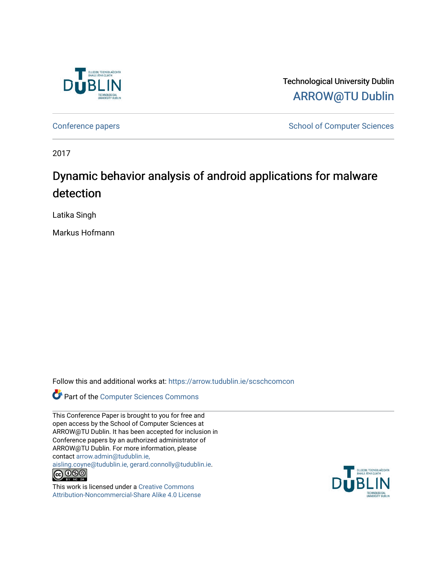

Technological University Dublin [ARROW@TU Dublin](https://arrow.tudublin.ie/) 

[Conference papers](https://arrow.tudublin.ie/scschcomcon) **School of Computer Sciences** School of Computer Sciences

2017

# Dynamic behavior analysis of android applications for malware detection

Latika Singh

Markus Hofmann

Follow this and additional works at: [https://arrow.tudublin.ie/scschcomcon](https://arrow.tudublin.ie/scschcomcon?utm_source=arrow.tudublin.ie%2Fscschcomcon%2F374&utm_medium=PDF&utm_campaign=PDFCoverPages)

Part of the [Computer Sciences Commons](http://network.bepress.com/hgg/discipline/142?utm_source=arrow.tudublin.ie%2Fscschcomcon%2F374&utm_medium=PDF&utm_campaign=PDFCoverPages)

This Conference Paper is brought to you for free and open access by the School of Computer Sciences at ARROW@TU Dublin. It has been accepted for inclusion in Conference papers by an authorized administrator of ARROW@TU Dublin. For more information, please contact [arrow.admin@tudublin.ie,](mailto:arrow.admin@tudublin.ie,%20aisling.coyne@tudublin.ie,%20gerard.connolly@tudublin.ie)  [aisling.coyne@tudublin.ie, gerard.connolly@tudublin.ie](mailto:arrow.admin@tudublin.ie,%20aisling.coyne@tudublin.ie,%20gerard.connolly@tudublin.ie).  $\bigodot$   $\bigodot$   $\bigodot$ 

This work is licensed under a [Creative Commons](http://creativecommons.org/licenses/by-nc-sa/4.0/) [Attribution-Noncommercial-Share Alike 4.0 License](http://creativecommons.org/licenses/by-nc-sa/4.0/)

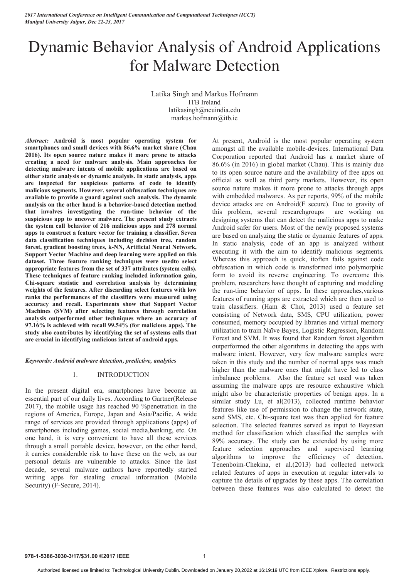*2017 International Conference on Intelligent Communication and Computational Techniques (ICCT) Manipal University Jaipur, Dec 22-23, 2017*

# Dynamic Behavior Analysis of Android Applications for Malware Detection

Latika Singh and Markus Hofmann ITB Ireland latikasingh@ncuindia.edu markus.hofmann@itb.ie

*Abstract:* **Android is most popular operating system for smartphones and small devices with 86.6% market share (Chau 2016). Its open source nature makes it more prone to attacks creating a need for malware analysis. Main approaches for detecting malware intents of mobile applications are based on either static analysis or dynamic analysis. In static analysis, apps are inspected for suspicious patterns of code to identify malicious segments. However, several obfuscation techniques are available to provide a guard against such analysis. The dynamic analysis on the other hand is a behavior-based detection method that involves investigating the run-time behavior of the suspicious app to uncover malware. The present study extracts the system call behavior of 216 malicious apps and 278 normal apps to construct a feature vector for training a classifier. Seven data classification techniques including decision tree, random forest, gradient boosting trees, k-NN, Artificial Neural Network, Support Vector Machine and deep learning were applied on this dataset. Three feature ranking techniques were usedto select appropriate features from the set of 337 attributes (system calls). These techniques of feature ranking included information gain, Chi-square statistic and correlation analysis by determining weights of the features. After discarding select features with low ranks the performances of the classifiers were measured using accuracy and recall. Experiments show that Support Vector Machines (SVM) after selecting features through correlation analysis outperformed other techniques where an accuracy of 97.16% is achieved with recall 99.54% (for malicious apps). The study also contributes by identifying the set of systems calls that are crucial in identifying malicious intent of android apps.** 

#### *Keywords: Android malware detection, predictive, analytics*

#### 1. INTRODUCTION

In the present digital era, smartphones have become an essential part of our daily lives. According to Gartner(Release 2017), the mobile usage has reached 90 %penetration in the regions of America, Europe, Japan and Asia/Pacific. A wide range of services are provided through applications (apps) of smartphones including games, social media,banking, etc. On one hand, it is very convenient to have all these services through a small portable device, however, on the other hand, it carries considerable risk to have these on the web, as our personal details are vulnerable to attacks. Since the last decade, several malware authors have reportedly started writing apps for stealing crucial information (Mobile Security) (F-Secure, 2014).

At present, Android is the most popular operating system amongst all the available mobile-devices. International Data Corporation reported that Android has a market share of 86.6% (in 2016) in global market (Chau). This is mainly due to its open source nature and the availability of free apps on official as well as third party markets. However, its open source nature makes it more prone to attacks through apps with embedded malwares. As per reports, 99% of the mobile device attacks are on Android(F secure). Due to gravity of this problem, several researchgroups are working on designing systems that can detect the malicious apps to make Android safer for users. Most of the newly proposed systems are based on analyzing the static or dynamic features of apps. In static analysis, code of an app is analyzed without executing it with the aim to identify malicious segments. Whereas this approach is quick, itoften fails against code obfuscation in which code is transformed into polymorphic form to avoid its reverse engineering. To overcome this problem, researchers have thought of capturing and modeling the run-time behavior of apps. In these approaches,various features of running apps are extracted which are then used to train classifiers. (Ham & Choi, 2013) used a feature set consisting of Network data, SMS, CPU utilization, power consumed, memory occupied by libraries and virtual memory utilization to train Naïve Bayes, Logistic Regression, Random Forest and SVM. It was found that Random forest algorithm outperformed the other algorithms in detecting the apps with malware intent. However, very few malware samples were taken in this study and the number of normal apps was much higher than the malware ones that might have led to class imbalance problems. Also the feature set used was taken assuming the malware apps are resource exhaustive which might also be characteristic properties of benign apps. In a similar study Lu, et al(2013), collected runtime behavior features like use of permission to change the network state, send SMS, etc. Chi-square test was then applied for feature selection. The selected features served as input to Bayesian method for classification which classified the samples with 89% accuracy. The study can be extended by using more feature selection approaches and supervised learning algorithms to improve the efficiency of detection. Tenenboim-Chekina, et al.(2013) had collected network related features of apps in execution at regular intervals to capture the details of upgrades by these apps. The correlation between these features was also calculated to detect the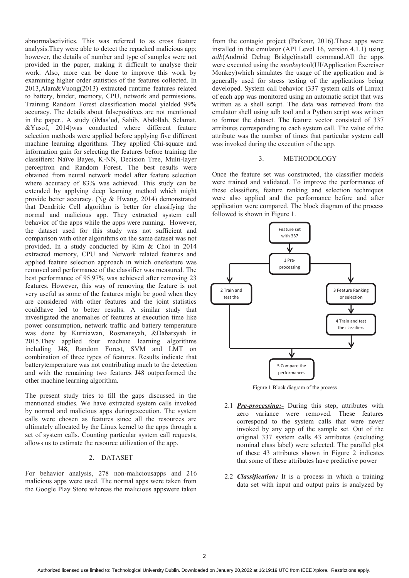abnormalactivities. This was referred to as cross feature analysis.They were able to detect the repacked malicious app; however, the details of number and type of samples were not provided in the paper, making it difficult to analyse their work. Also, more can be done to improve this work by examining higher order statistics of the features collected. In 2013,Alam&Vuong(2013) extracted runtime features related to battery, binder, memory, CPU, network and permissions. Training Random Forest classification model yielded 99% accuracy. The details about falsepositives are not mentioned in the paper.. A study (iMas'ud, Sahib, Abdollah, Selamat, &Yusof, 2014)was conducted where different feature selection methods were applied before applying five different machine learning algorithms. They applied Chi-square and information gain for selecting the features before training the classifiers: Naïve Bayes, K-NN, Decision Tree, Multi-layer perceptron and Random Forest. The best results were obtained from neural network model after feature selection where accuracy of 83% was achieved. This study can be extended by applying deep learning method which might provide better accuracy. (Ng & Hwang, 2014) demonstrated that Dendritic Cell algorithm is better for classifying the normal and malicious app. They extracted system call behavior of the apps while the apps were running. However, the dataset used for this study was not sufficient and comparison with other algorithms on the same dataset was not provided. In a study conducted by Kim & Choi in 2014 extracted memory, CPU and Network related features and applied feature selection approach in which onefeature was removed and performance of the classifier was measured. The best performance of 95.97% was achieved after removing 23 features. However, this way of removing the feature is not very useful as some of the features might be good when they are considered with other features and the joint statistics couldhave led to better results. A similar study that investigated the anomalies of features at execution time like power consumption, network traffic and battery temperature was done by Kurniawan, Rosmansyah, &Dabarsyah in 2015.They applied four machine learning algorithms including J48, Random Forest, SVM and LMT on combination of three types of features. Results indicate that batterytemperature was not contributing much to the detection and with the remaining two features J48 outperformed the other machine learning algorithm.

The present study tries to fill the gaps discussed in the mentioned studies. We have extracted system calls invoked by normal and malicious apps duringexecution. The system calls were chosen as features since all the resources are ultimately allocated by the Linux kernel to the apps through a set of system calls. Counting particular system call requests, allows us to estimate the resource utilization of the app.

### 2. DATASET

For behavior analysis, 278 non-maliciousapps and 216 malicious apps were used. The normal apps were taken from the Google Play Store whereas the malicious appswere taken

from the contagio project (Parkour, 2016).These apps were installed in the emulator (API Level 16, version 4.1.1) using *adb*(Android Debug Bridge)install command.All the apps were executed using the *monkey*tool(UI/Application Exerciser Monkey)which simulates the usage of the application and is generally used for stress testing of the applications being developed. System call behavior (337 system calls of Linux) of each app was monitored using an automatic script that was written as a shell script. The data was retrieved from the emulator shell using adb tool and a Python script was written to format the dataset. The feature vector consisted of 337 attributes corresponding to each system call. The value of the attribute was the number of times that particular system call was invoked during the execution of the app.

#### 3. METHODOLOGY

Once the feature set was constructed, the classifier models were trained and validated. To improve the performance of these classifiers, feature ranking and selection techniques were also applied and the performance before and after application were compared. The block diagram of the process followed is shown in Figure 1.





- 2.1 *Pre-processing:-* During this step, attributes with zero variance were removed. These features correspond to the system calls that were never invoked by any app of the sample set. Out of the original 337 system calls 43 attributes (excluding nominal class label) were selected. The parallel plot of these 43 attributes shown in Figure 2 indicates that some of these attributes have predictive power
- 2.2 *Classification:* It is a process in which a training data set with input and output pairs is analyzed by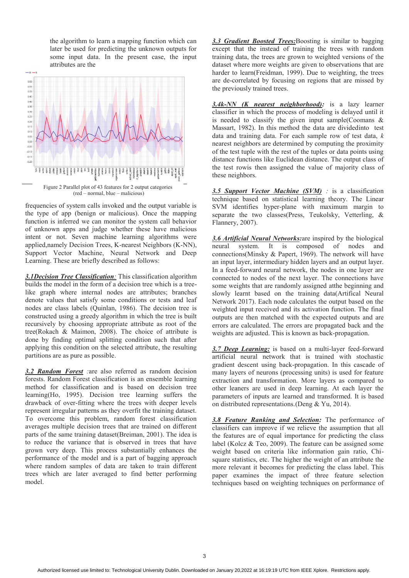the algorithm to learn a mapping function which can later be used for predicting the unknown outputs for some input data. In the present case, the input attributes are the



frequencies of system calls invoked and the output variable is the type of app (benign or malicious). Once the mapping function is inferred we can monitor the system call behavior of unknown apps and judge whether these have malicious intent or not. Seven machine learning algorithms were applied,namely Decision Trees, K-nearest Neighbors (K-NN), Support Vector Machine, Neural Network and Deep Learning. These are briefly described as follows:

*3.1Decision Tree Classification:* This classification algorithm builds the model in the form of a decision tree which is a treelike graph where internal nodes are attributes; branches denote values that satisfy some conditions or tests and leaf nodes are class labels (Quinlan, 1986). The decision tree is constructed using a greedy algorithm in which the tree is built recursively by choosing appropriate attribute as root of the tree(Rokach & Maimon, 2008). The choice of attribute is done by finding optimal splitting condition such that after applying this condition on the selected attribute, the resulting partitions are as pure as possible.

*3.2 Random Forest :*are also referred as random decision forests. Random Forest classification is an ensemble learning method for classification and is based on decision tree learning(Ho, 1995). Decision tree learning suffers the drawback of over-fitting where the trees with deeper levels represent irregular patterns as they overfit the training dataset. To overcome this problem, random forest classification averages multiple decision trees that are trained on different parts of the same training dataset(Breiman, 2001). The idea is to reduce the variance that is observed in trees that have grown very deep. This process substantially enhances the performance of the model and is a part of bagging approach where random samples of data are taken to train different trees which are later averaged to find better performing model.

*3.3 Gradient Boosted Trees:*Boosting is similar to bagging except that the instead of training the trees with random training data, the trees are grown to weighted versions of the dataset where more weights are given to observations that are harder to learn(Freidman, 1999). Due to weighting, the trees are de-correlated by focusing on regions that are missed by the previously trained trees.

*3.4k-NN (K nearest neighborhood):* is a lazy learner classifier in which the process of modeling is delayed until it is needed to classify the given input sample(Coomans  $\&$ Massart, 1982). In this method the data are dividedinto test data and training data. For each sample row of test data, *k* nearest neighbors are determined by computing the proximity of the test tuple with the rest of the tuples or data points using distance functions like Euclidean distance. The output class of the test rowis then assigned the value of majority class of these neighbors.

*3.5 Support Vector Machine (SVM) :* is a classification technique based on statistical learning theory. The Linear SVM identifies hyper-plane with maximum margin to separate the two classes(Press, Teukolsky, Vetterling, & Flannery, 2007).

*3.6 Artificial Neural Networks:*are inspired by the biological neural system. It is composed of nodes and connections(Minsky & Papert, 1969). The network will have an input layer, intermediary hidden layers and an output layer. In a feed-forward neural network, the nodes in one layer are connected to nodes of the next layer. The connections have some weights that are randomly assigned atthe beginning and slowly learnt based on the training data(Artifical Neural Network 2017). Each node calculates the output based on the weighted input received and its activation function. The final outputs are then matched with the expected outputs and are errors are calculated. The errors are propagated back and the weights are adjusted. This is known as back-propagation.

*3.7 Deep Learning:* is based on a multi-layer feed-forward artificial neural network that is trained with stochastic gradient descent using back-propagation. In this cascade of many layers of neurons (processing units) is used for feature extraction and transformation. More layers as compared to other leaners are used in deep learning. At each layer the parameters of inputs are learned and transformed. It is based on distributed representations.(Deng & Yu, 2014).

*3.8 Feature Ranking and Selection:* The performance of classifiers can improve if we relieve the assumption that all the features are of equal importance for predicting the class label (Kolcz & Teo, 2009). The feature can be assigned some weight based on criteria like information gain ratio, Chisquare statistics, etc. The higher the weight of an attribute the more relevant it becomes for predicting the class label. This paper examines the impact of three feature selection techniques based on weighting techniques on performance of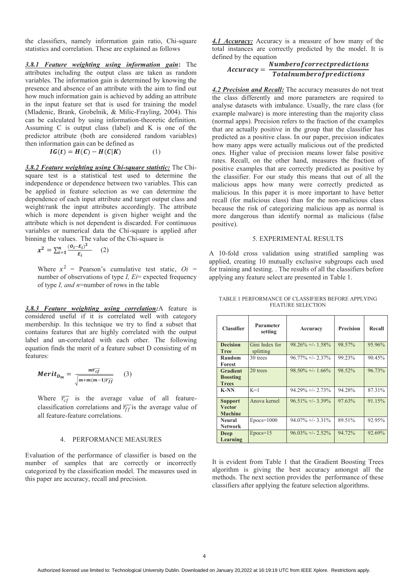the classifiers, namely information gain ratio, Chi-square statistics and correlation. These are explained as follows

*3.8.1 Feature weighting using information gain***:** The attributes including the output class are taken as random variables. The information gain is determined by knowing the presence and absence of an attribute with the aim to find out how much information gain is achieved by adding an attribute in the input feature set that is used for training the model (Mladenic, Brank, Grobelnik, & Milic-Frayling, 2004). This can be calculated by using information-theoretic definition. Assuming C is output class (label) and K is one of the predictor attribute (both are considered random variables) then information gain can be defined as

$$
IG(t) = H(C) - H(C|K)
$$
 (1)

*3.8.2 Feature weighting using Chi-square statistic:* The Chisquare test is a statistical test used to determine the independence or dependence between two variables. This can be applied in feature selection as we can determine the dependence of each input attribute and target output class and weight/rank the input attributes accordingly. The attribute which is more dependent is given higher weight and the attribute which is not dependent is discarded. For continuous variables or numerical data the Chi-square is applied after binning the values. The value of the Chi-square is

$$
x^{2} = \sum_{i=1}^{n} \frac{(o_{i} - E_{i})^{2}}{E_{i}} \qquad (2)
$$

Where  $x^2$  = Pearson's cumulative test static,  $Qi$  = number of observations of type *I, Ei*= expected frequency of type *I, and n*=number of rows in the table

*3.8.3 Feature weighting using correlation:*A feature is considered useful if it is correlated well with category membership. In this technique we try to find a subset that contains features that are highly correlated with the output label and un-correlated with each other. The following equation finds the merit of a feature subset D consisting of m features:

$$
Merit_{D_m} = \frac{m\overline{r_{cf}}}{\sqrt{m+m(m-1)\overline{r_{ff}}}} \qquad (3)
$$

Where  $\overline{r_{cf}}$  is the average value of all featureclassification correlations and  $\overline{r_{ff}}$  is the average value of all feature-feature correlations.

#### 4. PERFORMANCE MEASURES

Evaluation of the performance of classifier is based on the number of samples that are correctly or incorrectly categorized by the classification model. The measures used in this paper are accuracy, recall and precision.

*4.1 Accuracy:* Accuracy is a measure of how many of the total instances are correctly predicted by the model. It is defined by the equation

# $Accuracy = \frac{Number of correct predictions}{Total number of predictions}$

*4.2 Precision and Recall:* The accuracy measures do not treat the class differently and more parameters are required to analyse datasets with imbalance. Usually, the rare class (for example malware) is more interesting than the majority class (normal apps). Precision refers to the fraction of the examples that are actually positive in the group that the classifier has predicted as a positive class. In our paper, precision indicates how many apps were actually malicious out of the predicted ones. Higher value of precision means lower false positive rates. Recall, on the other hand, measures the fraction of positive examples that are correctly predicted as positive by the classifier. For our study this means that out of all the malicious apps how many were correctly predicted as malicious. In this paper it is more important to have better recall (for malicious class) than for the non-malicious class because the risk of categorizing malicious app as normal is more dangerous than identify normal as malicious (false positive).

#### 5. EXPERIMENTAL RESULTS

A 10-fold cross validation using stratified sampling was applied, creating 10 mutually exclusive subgroups each used for training and testing. . The results of all the classifiers before applying any feature select are presented in Table 1.

| <b>Classifier</b>                                  | Parameter<br>setting        | Accuracy             | <b>Precision</b> | Recall |
|----------------------------------------------------|-----------------------------|----------------------|------------------|--------|
| <b>Decision</b><br><b>Tree</b>                     | Gini Index for<br>splitting | $98.26\% + (-1.58\%$ | 98.57%           | 95.96% |
| Random<br>Forest                                   | 30 trees                    | $96.77\% +/- 2.37\%$ | 99.23%           | 90.45% |
| <b>Gradient</b><br><b>Boosting</b><br><b>Trees</b> | 20 trees                    | $98.50\% +/- 1.66\%$ | 98.52%           | 96.73% |
| <b>K-NN</b>                                        | $K=1$                       | $94.29\% + 2.73\%$   | 94.28%           | 87.31% |
| <b>Support</b><br><b>Vector</b><br><b>Machine</b>  | Anova kernel                | $96.51\% +1.339\%$   | 97.63%           | 91.15% |
| <b>Neural</b><br><b>Network</b>                    | $Epocs = 1000$              | $94.07\% + (-3.31\%$ | 89.51%           | 92.95% |
| Deep<br>Learning                                   | $Epocs = 15$                | $96.03\% +12.52\%$   | 94.72%           | 92.69% |

TABLE 1 PERFORMANCE OF CLASSIFIERS BEFORE APPLYING FEATURE SELECTION

It is evident from Table 1 that the Gradient Boosting Trees algorithm is giving the best accuracy amongst all the methods. The next section provides the performance of these classifiers after applying the feature selection algorithms.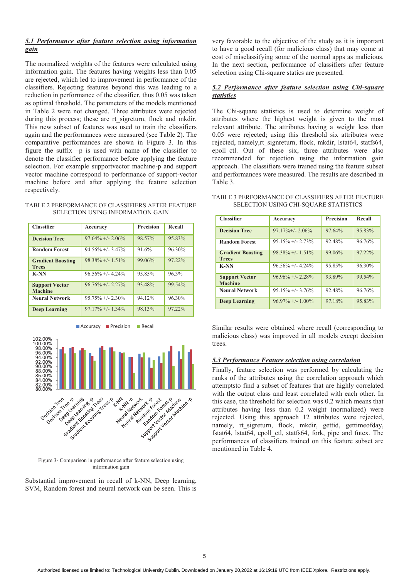# *5.1 Performance after feature selection using information gain*

The normalized weights of the features were calculated using information gain. The features having weights less than 0.05 are rejected, which led to improvement in performance of the classifiers. Rejecting features beyond this was leading to a reduction in performance of the classifier, thus 0.05 was taken as optimal threshold. The parameters of the models mentioned in Table 2 were not changed. Three attributes were rejected during this process; these are rt sigreturn, flock and mkdir. This new subset of features was used to train the classifiers again and the performances were measured (see Table 2). The comparative performances are shown in Figure 3. In this figure the suffix –p is used with name of the classifier to denote the classifier performance before applying the feature selection. For example supportvector machine-p and support vector machine correspond to performance of support-vector machine before and after applying the feature selection respectively.

| TABLE 2 PERFORMANCE OF CLASSIFIERS AFTER FEATURE |  |
|--------------------------------------------------|--|
| SELECTION USING INFORMATION GAIN                 |  |

| <b>Classifier</b>                        | Accuracy             | <b>Precision</b> | Recall    |
|------------------------------------------|----------------------|------------------|-----------|
| <b>Decision Tree</b>                     | $97.64\% +1.2.06\%$  | 98.57%           | 95.83%    |
| <b>Random Forest</b>                     | $94.56\% + (-3.47\%$ | 91.6%            | 96.30%    |
| <b>Gradient Boosting</b><br><b>Trees</b> | $98.38\% + 1.51\%$   | 99.06%           | 97.22%    |
| <b>K-NN</b>                              | $96.56\% + 4.24\%$   | 95.85%           | 96.3%     |
| <b>Support Vector</b><br><b>Machine</b>  | $96.76\% +12.27\%$   | 93.48%           | 99.54%    |
| <b>Neural Network</b>                    | $95.75\% + (-2.30\%$ | 94.12%           | 96.30%    |
| <b>Deep Learning</b>                     | $97.17\% +/- 1.34\%$ | 98.13%           | $97.22\%$ |



Figure 3- Comparison in performance after feature selection using information gain

Substantial improvement in recall of k-NN, Deep learning, SVM, Random forest and neural network can be seen. This is

very favorable to the objective of the study as it is important to have a good recall (for malicious class) that may come at cost of misclassifying some of the normal apps as malicious. In the next section, performance of classifiers after feature selection using Chi-square statics are presented.

# *5.2 Performance after feature selection using Chi-square statistics*

The Chi-square statistics is used to determine weight of attributes where the highest weight is given to the most relevant attribute. The attributes having a weight less than 0.05 were rejected; using this threshold six attributes were rejected, namely,rt\_signreturn, flock, mkdir, lstat64, statfs64, epoll\_ctl. Out of these six, three attributes were also recommended for rejection using the information gain approach. The classifiers were trained using the feature subset and performances were measured. The results are described in Table 3.

| TABLE 3 PERFORMANCE OF CLASSIFIERS AFTER FEATURE |
|--------------------------------------------------|
| <b>SELECTION USING CHI-SQUARE STATISTICS</b>     |

| <b>Classifier</b>                        | Accuracy             | <b>Precision</b> | Recall |
|------------------------------------------|----------------------|------------------|--------|
| <b>Decision Tree</b>                     | $97.17\% + (-2.06\%$ | 97.64%           | 95.83% |
| <b>Random Forest</b>                     | $95.15\% + 2.73\%$   | 92.48%           | 96.76% |
| <b>Gradient Boosting</b><br><b>Trees</b> | $98.38\% + 1.51\%$   | 99.06%           | 97.22% |
| <b>K-NN</b>                              | $96.56\% + 4.24\%$   | 95.85%           | 96.30% |
| <b>Support Vector</b><br><b>Machine</b>  | $96.96\% +12.28\%$   | 93.89%           | 99.54% |
| <b>Neural Network</b>                    | $95.15\% +/- 3.76\%$ | 92.48%           | 96.76% |
| <b>Deep Learning</b>                     | $96.97\% +1.00\%$    | 97.18%           | 95.83% |

Similar results were obtained where recall (corresponding to malicious class) was improved in all models except decision trees.

### *5.3 Performance Feature selection using correlation*

Finally, feature selection was performed by calculating the ranks of the attributes using the correlation approach which attemptsto find a subset of features that are highly correlated with the output class and least correlated with each other. In this case, the threshold for selection was 0.2 which means that attributes having less than 0.2 weight (normalized) were rejected. Using this approach 12 attributes were rejected, namely, rt sigreturn, flock, mkdir, gettid, gettimeofday, fstat64, lstat64, epoll\_ctl, statfs64, fork, pipe and futex. The performances of classifiers trained on this feature subset are mentioned in Table 4.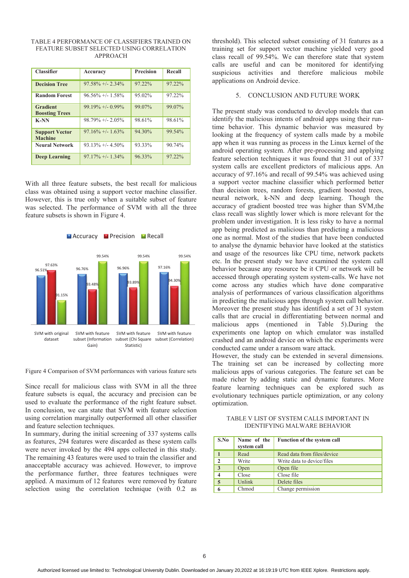| <b>Classifier</b>                        | Accuracy             | <b>Precision</b> | Recall    |
|------------------------------------------|----------------------|------------------|-----------|
| <b>Decision Tree</b>                     | $97.58\% + 2.34\%$   | 97.22%           | 97.22%    |
| <b>Random Forest</b>                     | $96.56\% +/- 1.58\%$ | 95.02%           | 97.22%    |
| <b>Gradient</b><br><b>Boosting Trees</b> | $99.19\% + 0.99\%$   | 99.07%           | 99.07%    |
| <b>K-NN</b>                              | $98.79\% + 2.05\%$   | 98.61%           | 98.61%    |
| <b>Support Vector</b><br><b>Machine</b>  | $97.16\% + (-1.63\%$ | 94.30%           | 99.54%    |
| <b>Neural Network</b>                    | $93.13\% + 4.50\%$   | 93.33%           | 90.74%    |
| <b>Deep Learning</b>                     | $97.17\% +/- 1.34\%$ | 96.33%           | $97.22\%$ |

#### TABLE 4 PERFORMANCE OF CLASSIFIERS TRAINED ON FEATURE SUBSET SELECTED USING CORRELATION APPROACH

With all three feature subsets, the best recall for malicious class was obtained using a support vector machine classifier. However, this is true only when a suitable subset of feature was selected. The performance of SVM with all the three feature subsets is shown in Figure 4.



Figure 4 Comparison of SVM performances with various feature sets

Since recall for malicious class with SVM in all the three feature subsets is equal, the accuracy and precision can be used to evaluate the performance of the right feature subset. In conclusion, we can state that SVM with feature selection using correlation marginally outperformed all other classifier and feature selection techniques.

In summary, during the initial screening of 337 systems calls as features, 294 features were discarded as these system calls were never invoked by the 494 apps collected in this study. The remaining 43 features were used to train the classifier and anacceptable accuracy was achieved. However, to improve the performance further, three features techniques were applied. A maximum of 12 features were removed by feature selection using the correlation technique (with 0.2 as

threshold). This selected subset consisting of 31 features as a training set for support vector machine yielded very good class recall of 99.54%. We can therefore state that system calls are useful and can be monitored for identifying suspicious activities and therefore malicious mobile applications on Android device.

#### 5. CONCLUSION AND FUTURE WORK

The present study was conducted to develop models that can identify the malicious intents of android apps using their runtime behavior. This dynamic behavior was measured by looking at the frequency of system calls made by a mobile app when it was running as process in the Linux kernel of the android operating system. After pre-processing and applying feature selection techniques it was found that 31 out of 337 system calls are excellent predictors of malicious apps. An accuracy of 97.16% and recall of 99.54% was achieved using a support vector machine classifier which performed better than decision trees, random forests, gradient boosted trees, neural network, k-NN and deep learning. Though the accuracy of gradient boosted tree was higher than SVM,the class recall was slightly lower which is more relevant for the problem under investigation. It is less risky to have a normal app being predicted as malicious than predicting a malicious one as normal. Most of the studies that have been conducted to analyse the dynamic behavior have looked at the statistics and usage of the resources like CPU time, network packets etc. In the present study we have examined the system call behavior because any resource be it CPU or network will be accessed through operating system system-calls. We have not come across any studies which have done comparative analysis of performances of various classification algorithms in predicting the malicious apps through system call behavior. Moreover the present study has identified a set of 31 system calls that are crucial in differentiating between normal and malicious apps (mentioned in Table 5).During the experiments one laptop on which emulator was installed crashed and an android device on which the experiments were conducted came under a ransom ware attack.

However, the study can be extended in several dimensions. The training set can be increased by collecting more malicious apps of various categories. The feature set can be made richer by adding static and dynamic features. More feature learning techniques can be explored such as evolutionary techniques particle optimization, or any colony optimization.

TABLE V LIST OF SYSTEM CALLS IMPORTANT IN IDENTIFYING MALWARE BEHAVIOR

| S.No           | Name of the<br>system call | <b>Function of the system call</b> |
|----------------|----------------------------|------------------------------------|
|                | Read                       | Read data from files/device        |
| $\overline{2}$ | Write                      | Write data to device/files         |
| 3              | Open                       | Open file                          |
|                | Close                      | Close file                         |
|                | Unlink                     | Delete files                       |
|                | Chmod                      | Change permission                  |